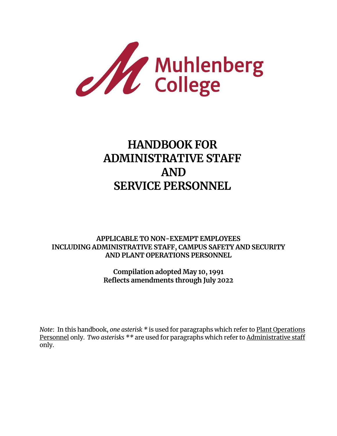

# **HANDBOOK FOR ADMINISTRATIVE STAFF AND SERVICE PERSONNEL**

**APPLICABLE TO NON-EXEMPT EMPLOYEES INCLUDING ADMINISTRATIVE STAFF, CAMPUS SAFETY AND SECURITY AND PLANT OPERATIONS PERSONNEL**

> **Compilation adopted May 10, 1991 Reflects amendments through July 2022**

*Note*: In this handbook, *one asterisk \** is used for paragraphs which refer to Plant Operations Personnel only. *Two asterisks \*\** are used for paragraphs which refer to Administrative staff only.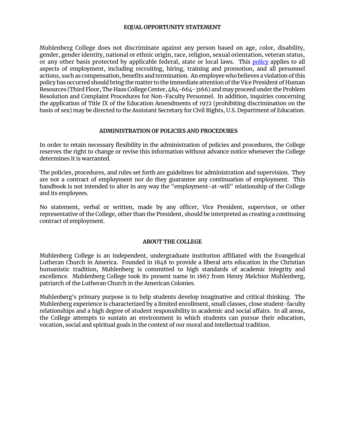## **EQUAL OPPORTUNITY STATEMENT**

Muhlenberg College does not discriminate against any person based on age, color, disability, gender, gender identity, national or ethnic origin, race, religion, sexual orientation, veteran status, or any other basis protected by applicable federal, state or local laws. This [policy](https://www.muhlenberg.edu/media/contentassets/pdf/about/deanst/studentguide/EqualOpportunityNondiscriminationPolicy.pdf) applies to all aspects of employment, including recruiting, hiring, training and promotion, and all personnel actions, such as compensation, benefits and termination. An employee who believes a violation of this policy has occurred should bring the matter to the immediate attention of the Vice President of Human Resources (Third Floor, The Haas College Center, 484-664-3166) and may proceed under the Problem Resolution and Complaint Procedures for Non-Faculty Personnel. In addition, inquiries concerning the application of Title IX of the Education Amendments of 1972 (prohibiting discrimination on the basis of sex) may be directed to the Assistant Secretary for Civil Rights, U.S. Department of Education.

#### **ADMINISTRATION OF POLICIES AND PROCEDURES**

In order to retain necessary flexibility in the administration of policies and procedures, the College reserves the right to change or revise this information without advance notice whenever the College determines it is warranted.

The policies, procedures, and rules set forth are guidelines for administration and supervision. They are not a contract of employment nor do they guarantee any continuation of employment. This handbook is not intended to alter in any way the "employment-at-will" relationship of the College and its employees.

No statement, verbal or written, made by any officer, Vice President, supervisor, or other representative of the College, other than the President, should be interpreted as creating a continuing contract of employment.

#### **ABOUT THE COLLEGE**

Muhlenberg College is an independent, undergraduate institution affiliated with the Evangelical Lutheran Church in America. Founded in 1848 to provide a liberal arts education in the Christian humanistic tradition, Muhlenberg is committed to high standards of academic integrity and excellence. Muhlenberg College took its present name in 1867 from Henry Melchior Muhlenberg, patriarch of the Lutheran Church in the American Colonies.

Muhlenberg's primary purpose is to help students develop imaginative and critical thinking. The Muhlenberg experience is characterized by a limited enrollment, small classes, close student-faculty relationships and a high degree of student responsibility in academic and social affairs. In all areas, the College attempts to sustain an environment in which students can pursue their education, vocation, social and spiritual goals in the context of our moral and intellectual tradition.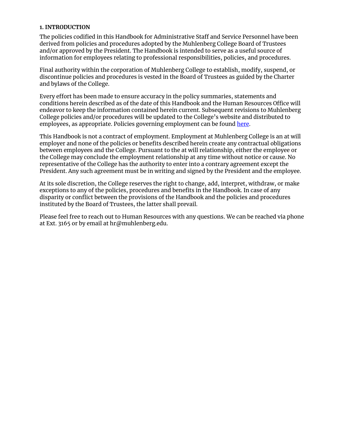## **1. INTRODUCTION**

The policies codified in this Handbook for Administrative Staff and Service Personnel have been derived from policies and procedures adopted by the Muhlenberg College Board of Trustees and/or approved by the President. The Handbook is intended to serve as a useful source of information for employees relating to professional responsibilities, policies, and procedures.

Final authority within the corporation of Muhlenberg College to establish, modify, suspend, or discontinue policies and procedures is vested in the Board of Trustees as guided by the Charter and bylaws of the College.

Every effort has been made to ensure accuracy in the policy summaries, statements and conditions herein described as of the date of this Handbook and the Human Resources Office will endeavor to keep the information contained herein current. Subsequent revisions to Muhlenberg College policies and/or procedures will be updated to the College's website and distributed to employees, as appropriate. Policies governing employment can be found [here.](https://www.muhlenberg.edu/offices/hr/currentemployees/resourcespolicies/policies/)

This Handbook is not a contract of employment. Employment at Muhlenberg College is an at will employer and none of the policies or benefits described herein create any contractual obligations between employees and the College. Pursuant to the at will relationship, either the employee or the College may conclude the employment relationship at any time without notice or cause. No representative of the College has the authority to enter into a contrary agreement except the President. Any such agreement must be in writing and signed by the President and the employee.

At its sole discretion, the College reserves the right to change, add, interpret, withdraw, or make exceptions to any of the policies, procedures and benefits in the Handbook. In case of any disparity or conflict between the provisions of the Handbook and the policies and procedures instituted by the Board of Trustees, the latter shall prevail.

Please feel free to reach out to Human Resources with any questions. We can be reached via phone at Ext. 3165 or by email at hr@muhlenberg.edu.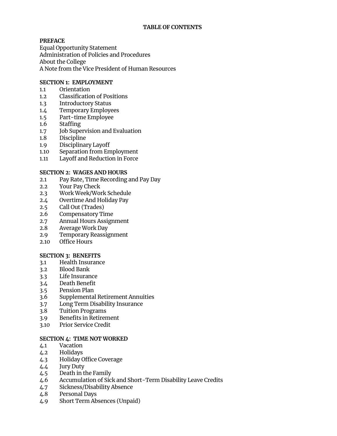## **TABLE OF CONTENTS**

# **PREFACE**

Equal Opportunity Statement Administration of Policies and Procedures About the College A Note from the Vice President of Human Resources

## **SECTION 1: EMPLOYMENT**

- 1.1 Orientation
- 1.2 Classification of Positions
- 1.3 Introductory Status
- 1.4 Temporary Employees
- 1.5 Part-time Employee
- 1.6 Staffing
- 1.7 Job Supervision and Evaluation
- 1.8 Discipline
- 1.9 Disciplinary Layoff
- 1.10 Separation from Employment
- 1.11 Layoff and Reduction in Force

## **SECTION 2: WAGES AND HOURS**

- 2.1 Pay Rate, Time Recording and Pay Day
- 2.2 Your Pay Check
- 2.3 Work Week/Work Schedule
- 2.4 Overtime And Holiday Pay
- 2.5 Call Out (Trades)
- 2.6 Compensatory Time
- 2.7 Annual Hours Assignment
- 2.8 Average Work Day
- 2.9 Temporary Reassignment
- 2.10 Office Hours

#### **SECTION 3: BENEFITS**

- 3.1 Health Insurance
- 3.2 Blood Bank
- 3.3 Life Insurance
- 3.4 Death Benefit
- 3.5 Pension Plan
- 3.6 Supplemental Retirement Annuities
- 3.7 Long Term Disability Insurance
- 3.8 Tuition Programs
- 3.9 Benefits in Retirement
- 3.10 Prior Service Credit

#### **SECTION 4: TIME NOT WORKED**

- 4.1 Vacation
- 4.2 Holidays
- 4.3 Holiday Office Coverage
- 4.4 Jury Duty
- 4.5 Death in the Family
- 4.6 Accumulation of Sick and Short-Term Disability Leave Credits
- 4.7 Sickness/Disability Absence
- 4.8 Personal Days
- 4.9 Short Term Absences (Unpaid)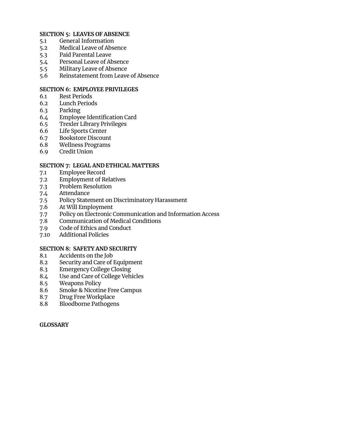## **SECTION 5: LEAVES OF ABSENCE**

- 5.1 General Information
- 5.2 Medical Leave of Absence
- 5.3 Paid Parental Leave
- 5.4 Personal Leave of Absence
- 5.5 Military Leave of Absence
- 5.6 Reinstatement from Leave of Absence

## **SECTION 6: EMPLOYEE PRIVILEGES**

- 6.1 Rest Periods
- 6.2 Lunch Periods
- 6.3 Parking
- 6.4 Employee Identification Card
- 6.5 Trexler Library Privileges
- 6.6 Life Sports Center
- 6.7 Bookstore Discount
- 6.8 Wellness Programs
- 6.9 Credit Union

## **SECTION 7: LEGAL AND ETHICAL MATTERS**

- 7.1 Employee Record
- 7.2 Employment of Relatives
- 7.3 Problem Resolution
- 7.4 Attendance
- 7.5 Policy Statement on Discriminatory Harassment
- 7.6 At Will Employment
- 7.7 Policy on Electronic Communication and Information Access
- 7.8 Communication of Medical Conditions
- 7.9 Code of Ethics and Conduct
- 7.10 Additional Policies

## **SECTION 8: SAFETY AND SECURITY**

- 8.1 Accidents on the Job
- 8.2 Security and Care of Equipment
- 8.3 Emergency College Closing
- 8.4 Use and Care of College Vehicles
- 8.5 Weapons Policy
- 8.6 Smoke & Nicotine Free Campus
- 8.7 Drug Free Workplace
- 8.8 Bloodborne Pathogens

#### **GLOSSARY**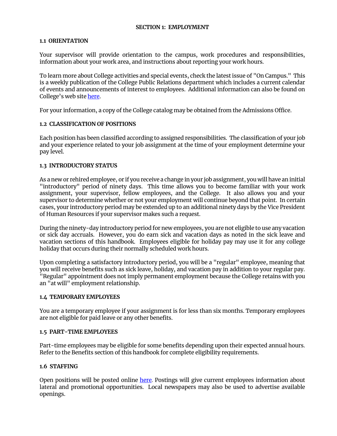## **SECTION 1: EMPLOYMENT**

## **1.1 ORIENTATION**

Your supervisor will provide orientation to the campus, work procedures and responsibilities, information about your work area, and instructions about reporting your work hours.

To learn more about College activities and special events, check the latest issue of "On Campus." This is a weekly publication of the College Public Relations department which includes a current calendar of events and announcements of interest to employees. Additional information can also be found on College's web site [here.](http://www.muhlenberg.edu/)

For your information, a copy of the College catalog may be obtained from the Admissions Office.

## **1.2 CLASSIFICATION OF POSITIONS**

Each position has been classified according to assigned responsibilities. The classification of your job and your experience related to your job assignment at the time of your employment determine your pay level.

#### **1.3 INTRODUCTORY STATUS**

As a new or rehired employee, or if you receive a change in your job assignment, you will have an initial "introductory" period of ninety days. This time allows you to become familiar with your work assignment, your supervisor, fellow employees, and the College. It also allows you and your supervisor to determine whether or not your employment will continue beyond that point. In certain cases, your introductory period may be extended up to an additional ninety days by the Vice President of Human Resources if your supervisor makes such a request.

During the ninety-day introductory period for new employees, you are not eligible to use any vacation or sick day accruals. However, you do earn sick and vacation days as noted in the sick leave and vacation sections of this handbook. Employees eligible for holiday pay may use it for any college holiday that occurs during their normally scheduled work hours.

Upon completing a satisfactory introductory period, you will be a "regular" employee, meaning that you will receive benefits such as sick leave, holiday, and vacation pay in addition to your regular pay. "Regular" appointment does not imply permanent employment because the College retains with you an "at will" employment relationship.

#### **1.4 TEMPORARY EMPLOYEES**

You are a temporary employee if your assignment is for less than six months. Temporary employees are not eligible for paid leave or any other benefits.

#### **1.5 PART-TIME EMPLOYEES**

Part-time employees may be eligible for some benefits depending upon their expected annual hours. Refer to the Benefits section of this handbook for complete eligibility requirements.

#### **1.6 STAFFING**

Open positions will be posted online [here](https://muhlenberg.wd1.myworkdayjobs.com/MuhlenbergCareers). Postings will give current employees information about lateral and promotional opportunities. Local newspapers may also be used to advertise available openings.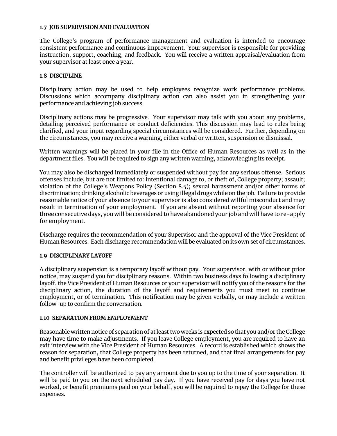#### **1.7 JOB SUPERVISION AND EVALUATION**

The College's program of performance management and evaluation is intended to encourage consistent performance and continuous improvement. Your supervisor is responsible for providing instruction, support, coaching, and feedback. You will receive a written appraisal/evaluation from your supervisor at least once a year.

#### **1.8 DISCIPLINE**

Disciplinary action may be used to help employees recognize work performance problems. Discussions which accompany disciplinary action can also assist you in strengthening your performance and achieving job success.

Disciplinary actions may be progressive. Your supervisor may talk with you about any problems, detailing perceived performance or conduct deficiencies. This discussion may lead to rules being clarified, and your input regarding special circumstances will be considered. Further, depending on the circumstances, you may receive a warning, either verbal or written, suspension or dismissal.

Written warnings will be placed in your file in the Office of Human Resources as well as in the department files. You will be required to sign any written warning, acknowledging its receipt.

You may also be discharged immediately or suspended without pay for any serious offense. Serious offenses include, but are not limited to: intentional damage to, or theft of, College property; assault; violation of the College's Weapons Policy (Section 8.5); sexual harassment and/or other forms of discrimination; drinking alcoholic beverages or using illegal drugs while on the job. Failure to provide reasonable notice of your absence to your supervisor is also considered willful misconduct and may result in termination of your employment. If you are absent without reporting your absence for three consecutive days, you will be considered to have abandoned your job and will have to re-apply for employment.

Discharge requires the recommendation of your Supervisor and the approval of the Vice President of Human Resources. Each discharge recommendation will be evaluated on its own set of circumstances.

#### **1.9 DISCIPLINARY LAYOFF**

A disciplinary suspension is a temporary layoff without pay. Your supervisor, with or without prior notice, may suspend you for disciplinary reasons. Within two business days following a disciplinary layoff, the Vice President of Human Resources or your supervisor will notify you of the reasons for the disciplinary action, the duration of the layoff and requirements you must meet to continue employment, or of termination. This notification may be given verbally, or may include a written follow-up to confirm the conversation.

#### **1.10 SEPARATION FROM EMPLOYMENT**

Reasonable written notice of separation of at least two weeks is expected so that you and/or the College may have time to make adjustments. If you leave College employment, you are required to have an exit interview with the Vice President of Human Resources. A record is established which shows the reason for separation, that College property has been returned, and that final arrangements for pay and benefit privileges have been completed.

The controller will be authorized to pay any amount due to you up to the time of your separation. It will be paid to you on the next scheduled pay day. If you have received pay for days you have not worked, or benefit premiums paid on your behalf, you will be required to repay the College for these expenses.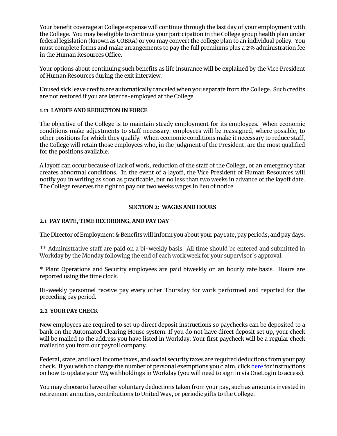Your benefit coverage at College expense will continue through the last day of your employment with the College. You may be eligible to continue your participation in the College group health plan under federal legislation (known as COBRA) or you may convert the college plan to an individual policy. You must complete forms and make arrangements to pay the full premiums plus a 2% administration fee in the Human Resources Office.

Your options about continuing such benefits as life insurance will be explained by the Vice President of Human Resources during the exit interview.

Unused sick leave credits are automatically canceled when you separate from the College. Such credits are not restored if you are later re-employed at the College.

## **1.11 LAYOFF AND REDUCTION IN FORCE**

The objective of the College is to maintain steady employment for its employees. When economic conditions make adjustments to staff necessary, employees will be reassigned, where possible, to other positions for which they qualify. When economic conditions make it necessary to reduce staff, the College will retain those employees who, in the judgment of the President, are the most qualified for the positions available.

A layoff can occur because of lack of work, reduction of the staff of the College, or an emergency that creates abnormal conditions. In the event of a layoff, the Vice President of Human Resources will notify you in writing as soon as practicable, but no less than two weeks in advance of the layoff date. The College reserves the right to pay out two weeks wages in lieu of notice.

#### **SECTION 2: WAGES AND HOURS**

## **2.1 PAY RATE, TIME RECORDING, AND PAY DAY**

The Director of Employment & Benefits will inform you about your pay rate, pay periods, and pay days.

\*\* Administrative staff are paid on a bi-weekly basis. All time should be entered and submitted in Workday by the Monday following the end of each work week for your supervisor's approval.

\* Plant Operations and Security employees are paid biweekly on an hourly rate basis. Hours are reported using the time clock.

Bi-weekly personnel receive pay every other Thursday for work performed and reported for the preceding pay period.

#### **2.2 YOUR PAY CHECK**

New employees are required to set up direct deposit instructions so paychecks can be deposited to a bank on the Automated Clearing House system. If you do not have direct deposit set up, your check will be mailed to the address you have listed in Workday. Your first paycheck will be a regular check mailed to you from our payroll company.

Federal, state, and local income taxes, and social security taxes are required deductions from your pay check. If you wish to change the number of personal exemptions you claim, clic[k here](https://sites.google.com/muhlenberg.edu/workdaytraining/human-resources-hcm) for instructions on how to update your W4 withholdings in Workday (you will need to sign in via OneLogin to access).

You may choose to have other voluntary deductions taken from your pay, such as amounts invested in retirement annuities, contributions to United Way, or periodic gifts to the College.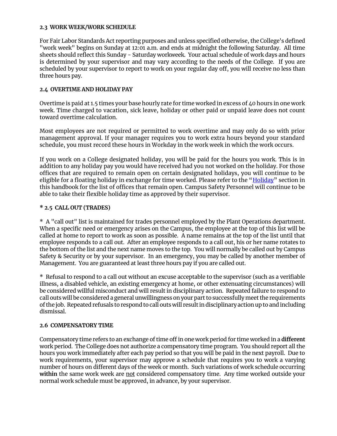## **2.3 WORK WEEK/WORK SCHEDULE**

For Fair Labor Standards Act reporting purposes and unless specified otherwise, the College's defined "work week" begins on Sunday at 12:01 a.m. and ends at midnight the following Saturday. All time sheets should reflect this Sunday - Saturday workweek. Your actual schedule of work days and hours is determined by your supervisor and may vary according to the needs of the College. If you are scheduled by your supervisor to report to work on your regular day off, you will receive no less than three hours pay.

# **2.4 OVERTIME AND HOLIDAY PAY**

Overtime is paid at 1.5 times your base hourly rate for time worked in excess of 40 hours in one work week. Time charged to vacation, sick leave, holiday or other paid or unpaid leave does not count toward overtime calculation.

Most employees are not required or permitted to work overtime and may only do so with prior management approval. If your manager requires you to work extra hours beyond your standard schedule, you must record these hours in Workday in the work week in which the work occurs.

If you work on a College designated holiday, you will be paid for the hours you work. This is in addition to any holiday pay you would have received had you not worked on the holiday. For those offices that are required to remain open on certain designated holidays, you will continue to be eligible for a floating holiday in exchange for time worked. Please refer to the "[Holiday](#page-13-0)" section in this handbook for the list of offices that remain open. Campus Safety Personnel will continue to be able to take their flexible holiday time as approved by their supervisor.

# **\* 2.5 CALL OUT (TRADES)**

\* A "call out" list is maintained for trades personnel employed by the Plant Operations department. When a specific need or emergency arises on the Campus, the employee at the top of this list will be called at home to report to work as soon as possible. A name remains at the top of the list until that employee responds to a call out. After an employee responds to a call out, his or her name rotates to the bottom of the list and the next name moves to the top. You will normally be called out by Campus Safety & Security or by your supervisor. In an emergency, you may be called by another member of Management. You are guaranteed at least three hours pay if you are called out.

\* Refusal to respond to a call out without an excuse acceptable to the supervisor (such as a verifiable illness, a disabled vehicle, an existing emergency at home, or other extenuating circumstances) will be considered willful misconduct and will result in disciplinary action. Repeated failure to respond to call outs will be considered a general unwillingness on your part to successfully meet the requirements of the job. Repeated refusals to respond to call outs will result in disciplinary action up to and including dismissal.

# **2.6 COMPENSATORY TIME**

Compensatory time refers to an exchange of time off in one work period for time worked in a **different** work period. The College does not authorize a compensatory time program. You should report all the hours you work immediately after each pay period so that you will be paid in the next payroll. Due to work requirements, your supervisor may approve a schedule that requires you to work a varying number of hours on different days of the week or month. Such variations of work schedule occurring within the same work week are not considered compensatory time. Any time worked outside your normal work schedule must be approved, in advance, by your supervisor.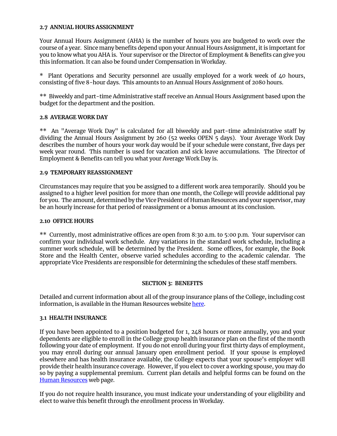## **2.7 ANNUAL HOURS ASSIGNMENT**

Your Annual Hours Assignment (AHA) is the number of hours you are budgeted to work over the course of a year. Since many benefits depend upon your Annual Hours Assignment, it is important for you to know what you AHA is. Your supervisor or the Director of Employment & Benefits can give you this information. It can also be found under Compensation in Workday.

\* Plant Operations and Security personnel are usually employed for a work week of 40 hours, consisting of five 8-hour days. This amounts to an Annual Hours Assignment of 2080 hours.

\*\* Biweekly and part-time Administrative staff receive an Annual Hours Assignment based upon the budget for the department and the position.

## **2.8 AVERAGE WORK DAY**

\*\* An "Average Work Day" is calculated for all biweekly and part-time administrative staff by dividing the Annual Hours Assignment by 260 (52 weeks OPEN 5 days). Your Average Work Day describes the number of hours your work day would be if your schedule were constant, five days per week year round. This number is used for vacation and sick leave accumulations. The Director of Employment & Benefits can tell you what your Average Work Day is.

# **2.9 TEMPORARY REASSIGNMENT**

Circumstances may require that you be assigned to a different work area temporarily. Should you be assigned to a higher level position for more than one month, the College will provide additional pay for you. The amount, determined by the Vice President of Human Resources and your supervisor, may be an hourly increase for that period of reassignment or a bonus amount at its conclusion.

## **2.10 OFFICE HOURS**

\*\* Currently, most administrative offices are open from 8:30 a.m. to 5:00 p.m. Your supervisor can confirm your individual work schedule. Any variations in the standard work schedule, including a summer work schedule, will be determined by the President. Some offices, for example, the Book Store and the Health Center, observe varied schedules according to the academic calendar. The appropriate Vice Presidents are responsible for determining the schedules of these staff members.

# **SECTION 3: BENEFITS**

Detailed and current information about all of the group insurance plans of the College, including cost information, is available in the Human Resources websit[e here.](https://www.muhlenberg.edu/offices/hr/currentemployees/employeebenefits/)

#### **3.1 HEALTH INSURANCE**

If you have been appointed to a position budgeted for 1, 248 hours or more annually, you and your dependents are eligible to enroll in the College group health insurance plan on the first of the month following your date of employment. If you do not enroll during your first thirty days of employment, you may enroll during our annual January open enrollment period. If your spouse is employed elsewhere and has health insurance available, the College expects that your spouse's employer will provide their health insurance coverage. However, if you elect to cover a working spouse, you may do so by paying a supplemental premium. Current plan details and helpful forms can be found on the [Human Resources](https://www.muhlenberg.edu/offices/hr/currentemployees/employeebenefits/) web page.

If you do not require health insurance, you must indicate your understanding of your eligibility and elect to waive this benefit through the enrollment process in Workday.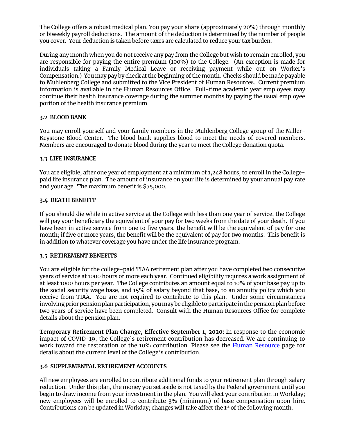The College offers a robust medical plan. You pay your share (approximately 20%) through monthly or biweekly payroll deductions. The amount of the deduction is determined by the number of people you cover. Your deduction is taken before taxes are calculated to reduce your tax burden.

During any month when you do not receive any pay from the College but wish to remain enrolled, you are responsible for paying the entire premium (100%) to the College. (An exception is made for individuals taking a Family Medical Leave or receiving payment while out on Worker's Compensation.) You may pay by check at the beginning of the month. Checks should be made payable to Muhlenberg College and submitted to the Vice President of Human Resources. Current premium information is available in the Human Resources Office. Full-time academic year employees may continue their health insurance coverage during the summer months by paying the usual employee portion of the health insurance premium.

## **3.2 BLOOD BANK**

You may enroll yourself and your family members in the Muhlenberg College group of the Miller-Keystone Blood Center. The blood bank supplies blood to meet the needs of covered members. Members are encouraged to donate blood during the year to meet the College donation quota.

## **3.3 LIFE INSURANCE**

You are eligible, after one year of employment at a minimum of 1,248 hours, to enroll in the Collegepaid life insurance plan. The amount of insurance on your life is determined by your annual pay rate and your age. The maximum benefit is \$75,000.

## **3.4 DEATH BENEFIT**

If you should die while in active service at the College with less than one year of service, the College will pay your beneficiary the equivalent of your pay for two weeks from the date of your death. If you have been in active service from one to five years, the benefit will be the equivalent of pay for one month; if five or more years, the benefit will be the equivalent of pay for two months. This benefit is in addition to whatever coverage you have under the life insurance program.

#### **3.5 RETIREMENT BENEFITS**

You are eligible for the college-paid TIAA retirement plan after you have completed two consecutive years of service at 1000 hours or more each year. Continued eligibility requires a work assignment of at least 1000 hours per year. The College contributes an amount equal to 10% of your base pay up to the social security wage base, and 15% of salary beyond that base, to an annuity policy which you receive from TIAA. You are not required to contribute to this plan. Under some circumstances involving prior pension plan participation, you may be eligible to participate in the pension plan before two years of service have been completed. Consult with the Human Resources Office for complete details about the pension plan.

**Temporary Retirement Plan Change, Effective September 1, 2020:** In response to the economic impact of COVID-19, the College's retirement contribution has decreased. We are continuing to work toward the restoration of the 10% contribution. Please see the Human [Resource](https://www.muhlenberg.edu/offices/hr/currentemployees/employeebenefits/) page for details about the current level of the College's contribution.

#### **3.6 SUPPLEMENTAL RETIREMENT ACCOUNTS**

All new employees are enrolled to contribute additional funds to your retirement plan through salary reduction. Under this plan, the money you set aside is not taxed by the Federal government until you begin to draw income from your investment in the plan. You will elect your contribution in Workday; new employees will be enrolled to contribute 3% (minimum) of base compensation upon hire. Contributions can be updated in Workday; changes will take affect the 1st of the following month.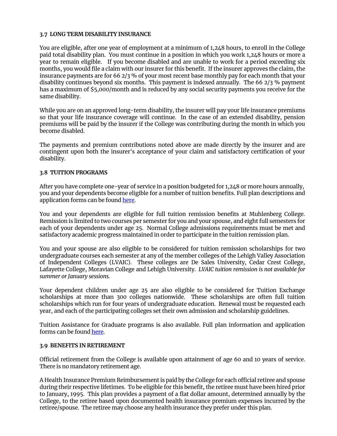## **3.7 LONG TERM DISABILITY INSURANCE**

You are eligible, after one year of employment at a minimum of 1,248 hours, to enroll in the College paid total disability plan. You must continue in a position in which you work 1,248 hours or more a year to remain eligible. If you become disabled and are unable to work for a period exceeding six months, you would file a claim with our insurer for this benefit. If the insurer approves the claim, the insurance payments are for 66 2/3 % of your most recent base monthly pay for each month that your disability continues beyond six months. This payment is indexed annually. The 66 2/3 % payment has a maximum of \$5,000/month and is reduced by any social security payments you receive for the same disability.

While you are on an approved long-term disability, the insurer will pay your life insurance premiums so that your life insurance coverage will continue. In the case of an extended disability, pension premiums will be paid by the insurer if the College was contributing during the month in which you become disabled.

The payments and premium contributions noted above are made directly by the insurer and are contingent upon both the insurer's acceptance of your claim and satisfactory certification of your disability.

#### **3.8 TUITION PROGRAMS**

After you have complete one-year of service in a position budgeted for 1,248 or more hours annually, you and your dependents become eligible for a number of tuition benefits. Full plan descriptions and application forms can be foun[d here.](https://www.muhlenberg.edu/offices/hr/currentemployees/employeebenefits/)

You and your dependents are eligible for full tuition remission benefits at Muhlenberg College. Remission is limited to two courses per semester for you and your spouse, and eight full semesters for each of your dependents under age 25. Normal College admissions requirements must be met and satisfactory academic progress maintained in order to participate in the tuition remission plan.

You and your spouse are also eligible to be considered for tuition remission scholarships for two undergraduate courses each semester at any of the member colleges of the Lehigh Valley Association of Independent Colleges (LVAIC). These colleges are De Sales University, Cedar Crest College, Lafayette College, Moravian College and Lehigh University. *LVAIC tuition remission is not available for summer or January sessions.*

Your dependent children under age 25 are also eligible to be considered for Tuition Exchange scholarships at more than 300 colleges nationwide. These scholarships are often full tuition scholarships which run for four years of undergraduate education. Renewal must be requested each year, and each of the participating colleges set their own admission and scholarship guidelines.

Tuition Assistance for Graduate programs is also available. Full plan information and application forms can be foun[d here.](https://www.muhlenberg.edu/offices/hr/currentemployees/employeebenefits/)

#### **3.9 BENEFITS IN RETIREMENT**

Official retirement from the College is available upon attainment of age 60 and 10 years of service. There is no mandatory retirement age.

A Health Insurance Premium Reimbursement is paid by the College for each official retiree and spouse during their respective lifetimes. To be eligible for this benefit, the retiree must have been hired prior to January, 1995. This plan provides a payment of a flat dollar amount, determined annually by the College, to the retiree based upon documented health insurance premium expenses incurred by the retiree/spouse. The retiree may choose any health insurance they prefer under this plan.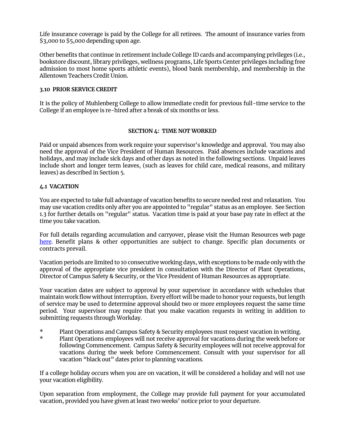Life insurance coverage is paid by the College for all retirees. The amount of insurance varies from \$3,000 to \$5,000 depending upon age.

Other benefits that continue in retirement include College ID cards and accompanying privileges (i.e., bookstore discount, library privileges, wellness programs, Life Sports Center privileges including free admission to most home sports athletic events), blood bank membership, and membership in the Allentown Teachers Credit Union.

## **3.10 PRIOR SERVICE CREDIT**

It is the policy of Muhlenberg College to allow immediate credit for previous full-time service to the College if an employee is re-hired after a break of six months or less.

#### **SECTION 4: TIME NOT WORKED**

Paid or unpaid absences from work require your supervisor's knowledge and approval. You may also need the approval of the Vice President of Human Resources. Paid absences include vacations and holidays, and may include sick days and other days as noted in the following sections. Unpaid leaves include short and longer term leaves, (such as leaves for child care, medical reasons, and military leaves) as described in Section 5.

## **4.1 VACATION**

You are expected to take full advantage of vacation benefits to secure needed rest and relaxation. You may use vacation credits only after you are appointed to "regular" status as an employee. See Section 1.3 for further details on "regular" status. Vacation time is paid at your base pay rate in effect at the time you take vacation.

For full details regarding accumulation and carryover, please visit the Human Resources web page [here.](https://www.muhlenberg.edu/offices/hr/currentemployees/employeebenefits/) Benefit plans & other opportunities are subject to change. Specific plan documents or contracts prevail.

Vacation periods are limited to 10 consecutive working days, with exceptions to be made only with the approval of the appropriate vice president in consultation with the Director of Plant Operations, Director of Campus Safety & Security, or the Vice President of Human Resources as appropriate.

Your vacation dates are subject to approval by your supervisor in accordance with schedules that maintain work flow without interruption. Every effort will be made to honor your requests, but length of service may be used to determine approval should two or more employees request the same time period. Your supervisor may require that you make vacation requests in writing in addition to submitting requests through Workday.

- \* Plant Operations and Campus Safety & Security employees must request vacation in writing.<br>Nati Operations employees will not receive approval for vacations during the week before a
- Plant Operations employees will not receive approval for vacations during the week before or following Commencement. Campus Safety & Security employees will not receive approval for vacations during the week before Commencement. Consult with your supervisor for all vacation "black out" dates prior to planning vacations.

If a college holiday occurs when you are on vacation, it will be considered a holiday and will not use your vacation eligibility.

Upon separation from employment, the College may provide full payment for your accumulated vacation, provided you have given at least two weeks' notice prior to your departure.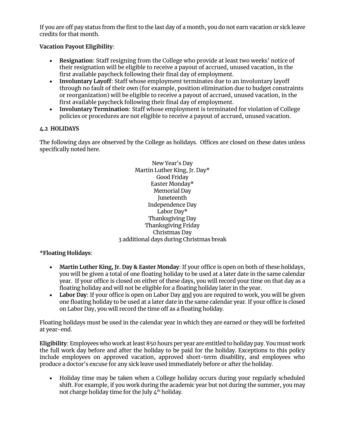If you are off pay status from the first to the last day of a month, you do not earn vacation or sick leave credits for that month.

# **Vacation Payout Eligibility**:

- **Resignation**: Staff resigning from the College who provide at least two weeks' notice of their resignation will be eligible to receive a payout of accrued, unused vacation, in the first available paycheck following their final day of employment.
- **Involuntary Layoff**: Staff whose employment terminates due to an involuntary layoff through no fault of their own (for example, position elimination due to budget constraints or reorganization) will be eligible to receive a payout of accrued, unused vacation, in the first available paycheck following their final day of employment.
- **Involuntary Termination**: Staff whose employment is terminated for violation of College policies or procedures are not eligible to receive a payout of accrued, unused vacation.

# <span id="page-13-0"></span>**4.2 HOLIDAYS**

The following days are observed by the College as holidays. Offices are closed on these dates unless specifically noted here.

> New Year's Day Martin Luther King, Jr. Day\* Good Friday Easter Monday\* Memorial Day **Juneteenth** Independence Day Labor Day\* Thanksgiving Day Thanksgiving Friday Christmas Day 3 additional days during Christmas break

# \***Floating Holidays**:

- **Martin Luther King, Jr. Day & Easter Monday**: If your office is open on both of these holidays, you will be given a total of one floating holiday to be used at a later date in the same calendar year. If your office is closed on either of these days, you will record your time on that day as a floating holiday and will not be eligible for a floating holiday later in the year.
- **Labor Day**: If your office is open on Labor Day and you are required to work, you will be given one floating holiday to be used at a later date in the same calendar year. If your office is closed on Labor Day, you will record the time off as a floating holiday.

Floating holidays must be used in the calendar year in which they are earned or they will be forfeited at year-end.

**Eligibility**: Employees who work at least 850 hours per year are entitled to holiday pay. You must work the full work day before and after the holiday to be paid for the holiday. Exceptions to this policy include employees on approved vacation, approved short-term disability, and employees who produce a doctor's excuse for any sick leave used immediately before or after the holiday.

• Holiday time may be taken when a College holiday occurs during your regularly scheduled shift. For example, if you work during the academic year but not during the summer, you may not charge holiday time for the July  $4<sup>th</sup>$  holiday.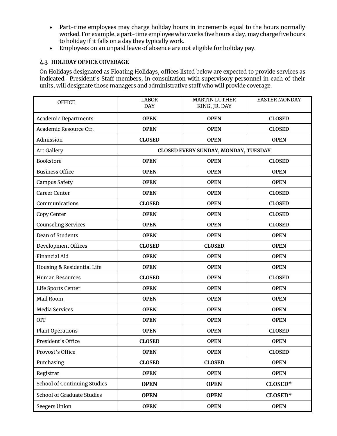- Part-time employees may charge holiday hours in increments equal to the hours normally worked. For example, a part-time employee who works five hours a day, may charge five hours to holiday if it falls on a day they typically work.
- Employees on an unpaid leave of absence are not eligible for holiday pay.

# **4.3 HOLIDAY OFFICE COVERAGE**

On Holidays designated as Floating Holidays, offices listed below are expected to provide services as indicated. President's Staff members, in consultation with supervisory personnel in each of their units, will designate those managers and administrative staff who will provide coverage.

| <b>OFFICE</b>                     | <b>LABOR</b><br><b>DAY</b>           | <b>MARTIN LUTHER</b><br>KING, JR. DAY | <b>EASTER MONDAY</b> |
|-----------------------------------|--------------------------------------|---------------------------------------|----------------------|
| <b>Academic Departments</b>       | <b>OPEN</b>                          | <b>OPEN</b>                           | <b>CLOSED</b>        |
| Academic Resource Ctr.            | <b>OPEN</b>                          | <b>OPEN</b>                           | <b>CLOSED</b>        |
| Admission                         | <b>CLOSED</b>                        | <b>OPEN</b>                           | <b>OPEN</b>          |
| <b>Art Gallery</b>                | CLOSED EVERY SUNDAY, MONDAY, TUESDAY |                                       |                      |
| Bookstore                         | <b>OPEN</b>                          | <b>OPEN</b>                           | <b>CLOSED</b>        |
| <b>Business Office</b>            | <b>OPEN</b>                          | <b>OPEN</b>                           | <b>OPEN</b>          |
| Campus Safety                     | <b>OPEN</b>                          | <b>OPEN</b>                           | <b>OPEN</b>          |
| <b>Career Center</b>              | <b>OPEN</b>                          | <b>OPEN</b>                           | <b>CLOSED</b>        |
| Communications                    | <b>CLOSED</b>                        | <b>OPEN</b>                           | <b>CLOSED</b>        |
| Copy Center                       | <b>OPEN</b>                          | <b>OPEN</b>                           | <b>CLOSED</b>        |
| <b>Counseling Services</b>        | <b>OPEN</b>                          | <b>OPEN</b>                           | <b>CLOSED</b>        |
| Dean of Students                  | <b>OPEN</b>                          | <b>OPEN</b>                           | <b>OPEN</b>          |
| Development Offices               | <b>CLOSED</b>                        | <b>CLOSED</b>                         | <b>OPEN</b>          |
| <b>Financial Aid</b>              | <b>OPEN</b>                          | <b>OPEN</b>                           | <b>OPEN</b>          |
| Housing & Residential Life        | <b>OPEN</b>                          | <b>OPEN</b>                           | <b>OPEN</b>          |
| <b>Human Resources</b>            | <b>CLOSED</b>                        | <b>OPEN</b>                           | <b>CLOSED</b>        |
| Life Sports Center                | <b>OPEN</b>                          | <b>OPEN</b>                           | <b>OPEN</b>          |
| Mail Room                         | <b>OPEN</b>                          | <b>OPEN</b>                           | <b>OPEN</b>          |
| <b>Media Services</b>             | <b>OPEN</b>                          | <b>OPEN</b>                           | <b>OPEN</b>          |
| <b>OIT</b>                        | <b>OPEN</b>                          | <b>OPEN</b>                           | <b>OPEN</b>          |
| <b>Plant Operations</b>           | <b>OPEN</b>                          | <b>OPEN</b>                           | <b>CLOSED</b>        |
| President's Office                | <b>CLOSED</b>                        | <b>OPEN</b>                           | <b>OPEN</b>          |
| Provost's Office                  | <b>OPEN</b>                          | <b>OPEN</b>                           | <b>CLOSED</b>        |
| Purchasing                        | <b>CLOSED</b>                        | <b>CLOSED</b>                         | <b>OPEN</b>          |
| Registrar                         | <b>OPEN</b>                          | <b>OPEN</b>                           | <b>OPEN</b>          |
| School of Continuing Studies      | <b>OPEN</b>                          | <b>OPEN</b>                           | CLOSED*              |
| <b>School of Graduate Studies</b> | <b>OPEN</b>                          | <b>OPEN</b>                           | CLOSED*              |
| Seegers Union                     | <b>OPEN</b>                          | <b>OPEN</b>                           | <b>OPEN</b>          |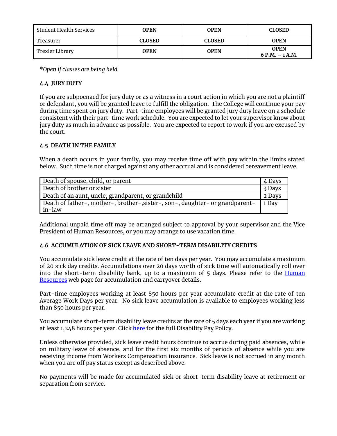| Student Health Services | <b>OPEN</b>   | <b>OPEN</b>   | <b>CLOSED</b>                    |
|-------------------------|---------------|---------------|----------------------------------|
| Treasurer               | <b>CLOSED</b> | <b>CLOSED</b> | <b>OPEN</b>                      |
| Trexler Library         | <b>OPEN</b>   | <b>OPEN</b>   | <b>OPEN</b><br>6 P.M. $-$ 1 A.M. |

\**Open if classes are being held.*

# **4.4 JURY DUTY**

If you are subpoenaed for jury duty or as a witness in a court action in which you are not a plaintiff or defendant, you will be granted leave to fulfill the obligation. The College will continue your pay during time spent on jury duty. Part-time employees will be granted jury duty leave on a schedule consistent with their part-time work schedule. You are expected to let your supervisor know about jury duty as much in advance as possible. You are expected to report to work if you are excused by the court.

# **4.5 DEATH IN THE FAMILY**

When a death occurs in your family, you may receive time off with pay within the limits stated below. Such time is not charged against any other accrual and is considered bereavement leave.

| Death of spouse, child, or parent                                             | 4 Days |
|-------------------------------------------------------------------------------|--------|
| Death of brother or sister                                                    |        |
| Death of an aunt, uncle, grandparent, or grandchild                           |        |
| Death of father-, mother-, brother-, sister-, son-, daughter- or grandparent- | 1 Day  |
| in-law                                                                        |        |

Additional unpaid time off may be arranged subject to approval by your supervisor and the Vice President of Human Resources, or you may arrange to use vacation time.

# **4.6 ACCUMULATION OF SICK LEAVE AND SHORT-TERM DISABILITY CREDITS**

You accumulate sick leave credit at the rate of ten days per year. You may accumulate a maximum of 20 sick day credits. Accumulations over 20 days worth of sick time will automatically roll over into the short-term disability bank, up to a maximum of 5 days. Please refer to the Human [Resources](https://www.muhlenberg.edu/offices/hr/currentemployees/employeebenefits/) web page for accumulation and carryover details.

Part-time employees working at least 850 hours per year accumulate credit at the rate of ten Average Work Days per year. No sick leave accumulation is available to employees working less than 850 hours per year.

You accumulate short-term disability leave credits at the rate of 5 days each year if you are working at least 1,248 hours per year. Clic[k here](https://www.muhlenberg.edu/media/contentassets/pdf/about/hr/Disability%20Pay%20Policy.pdf) for the full Disability Pay Policy.

Unless otherwise provided, sick leave credit hours continue to accrue during paid absences, while on military leave of absence, and for the first six months of periods of absence while you are receiving income from Workers Compensation insurance. Sick leave is not accrued in any month when you are off pay status except as described above.

No payments will be made for accumulated sick or short-term disability leave at retirement or separation from service.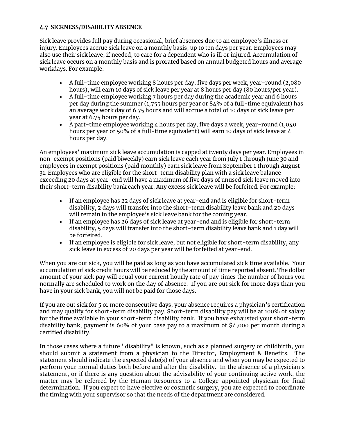# **4.7 SICKNESS/DISABILITY ABSENCE**

Sick leave provides full pay during occasional, brief absences due to an employee's illness or injury. Employees accrue sick leave on a monthly basis, up to ten days per year. Employees may also use their sick leave, if needed, to care for a dependent who is ill or injured. Accumulation of sick leave occurs on a monthly basis and is prorated based on annual budgeted hours and average workdays. For example:

- A full-time employee working 8 hours per day, five days per week, year-round (2,080 hours), will earn 10 days of sick leave per year at 8 hours per day (80 hours/per year).
- A full-time employee working 7 hours per day during the academic year and 6 hours per day during the summer (1,755 hours per year or 84% of a full-time equivalent) has an average work day of 6.75 hours and will accrue a total of 10 days of sick leave per year at 6.75 hours per day.
- A part-time employee working  $4$  hours per day, five days a week, year-round  $(1,040)$ hours per year or 50% of a full-time equivalent) will earn 10 days of sick leave at 4 hours per day.

An employees' maximum sick leave accumulation is capped at twenty days per year. Employees in non-exempt positions (paid biweekly) earn sick leave each year from July 1 through June 30 and employees in exempt positions (paid monthly) earn sick leave from September 1 through August 31. Employees who are eligible for the short-term disability plan with a sick leave balance exceeding 20 days at year-end will have a maximum of five days of unused sick leave moved into their short-term disability bank each year. Any excess sick leave will be forfeited. For example:

- If an employee has 22 days of sick leave at year-end and is eligible for short-term disability, 2 days will transfer into the short-term disability leave bank and 20 days will remain in the employee's sick leave bank for the coming year.
- If an employee has 26 days of sick leave at year-end and is eligible for short-term disability, 5 days will transfer into the short-term disability leave bank and 1 day will be forfeited.
- If an employee is eligible for sick leave, but not eligible for short-term disability, any sick leave in excess of 20 days per year will be forfeited at year-end.

When you are out sick, you will be paid as long as you have accumulated sick time available. Your accumulation of sick credit hours will be reduced by the amount of time reported absent. The dollar amount of your sick pay will equal your current hourly rate of pay times the number of hours you normally are scheduled to work on the day of absence. If you are out sick for more days than you have in your sick bank, you will not be paid for those days.

If you are out sick for 5 or more consecutive days, your absence requires a physician's certification and may qualify for short-term disability pay. Short-term disability pay will be at 100% of salary for the time available in your short-term disability bank. If you have exhausted your short-term disability bank, payment is 60% of your base pay to a maximum of \$4,000 per month during a certified disability.

In those cases where a future "disability" is known, such as a planned surgery or childbirth, you should submit a statement from a physician to the Director, Employment & Benefits. The statement should indicate the expected date(s) of your absence and when you may be expected to perform your normal duties both before and after the disability. In the absence of a physician's statement, or if there is any question about the advisability of your continuing active work, the matter may be referred by the Human Resources to a College-appointed physician for final determination. If you expect to have elective or cosmetic surgery, you are expected to coordinate the timing with your supervisor so that the needs of the department are considered.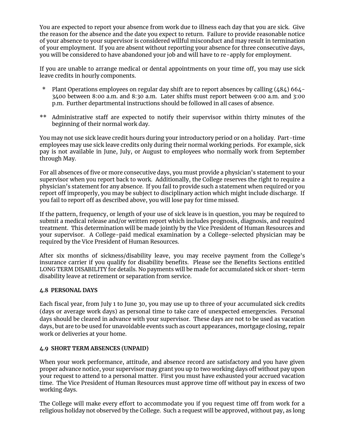You are expected to report your absence from work due to illness each day that you are sick. Give the reason for the absence and the date you expect to return. Failure to provide reasonable notice of your absence to your supervisor is considered willful misconduct and may result in termination of your employment. If you are absent without reporting your absence for three consecutive days, you will be considered to have abandoned your job and will have to re-apply for employment.

If you are unable to arrange medical or dental appointments on your time off, you may use sick leave credits in hourly components.

- Plant Operations employees on regular day shift are to report absences by calling  $(484)$  664-3400 between 8:00 a.m. and 8:30 a.m. Later shifts must report between 9:00 a.m. and 3:00 p.m. Further departmental instructions should be followed in all cases of absence.
- \*\* Administrative staff are expected to notify their supervisor within thirty minutes of the beginning of their normal work day.

You may not use sick leave credit hours during your introductory period or on a holiday. Part-time employees may use sick leave credits only during their normal working periods. For example, sick pay is not available in June, July, or August to employees who normally work from September through May.

For all absences of five or more consecutive days, you must provide a physician's statement to your supervisor when you report back to work. Additionally, the College reserves the right to require a physician's statement for any absence. If you fail to provide such a statement when required or you report off improperly, you may be subject to disciplinary action which might include discharge. If you fail to report off as described above, you will lose pay for time missed.

If the pattern, frequency, or length of your use of sick leave is in question, you may be required to submit a medical release and/or written report which includes prognosis, diagnosis, and required treatment. This determination will be made jointly by the Vice President of Human Resources and your supervisor. A College-paid medical examination by a College-selected physician may be required by the Vice President of Human Resources.

After six months of sickness/disability leave, you may receive payment from the College's insurance carrier if you qualify for disability benefits. Please see the Benefits Sections entitled LONG TERM DISABILITY for details. No payments will be made for accumulated sick or short-term disability leave at retirement or separation from service.

# **4.8 PERSONAL DAYS**

Each fiscal year, from July 1 to June 30, you may use up to three of your accumulated sick credits (days or average work days) as personal time to take care of unexpected emergencies. Personal days should be cleared in advance with your supervisor. These days are not to be used as vacation days, but are to be used for unavoidable events such as court appearances, mortgage closing, repair work or deliveries at your home.

# **4.9 SHORT TERM ABSENCES (UNPAID)**

When your work performance, attitude, and absence record are satisfactory and you have given proper advance notice, your supervisor may grant you up to two working days off without pay upon your request to attend to a personal matter. First you must have exhausted your accrued vacation time. The Vice President of Human Resources must approve time off without pay in excess of two working days.

The College will make every effort to accommodate you if you request time off from work for a religious holiday not observed by the College. Such a request will be approved, without pay, as long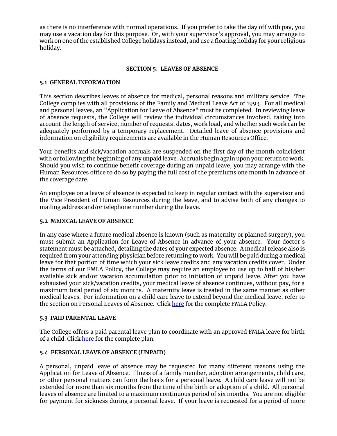as there is no interference with normal operations. If you prefer to take the day off with pay, you may use a vacation day for this purpose. Or, with your supervisor's approval, you may arrange to work on one of the established College holidays instead, and use a floating holiday for your religious holiday.

# **SECTION 5: LEAVES OF ABSENCE**

# **5.1 GENERAL INFORMATION**

This section describes leaves of absence for medical, personal reasons and military service. The College complies with all provisions of the Family and Medical Leave Act of 1993. For all medical and personal leaves, an "Application for Leave of Absence" must be completed. In reviewing leave of absence requests, the College will review the individual circumstances involved, taking into account the length of service, number of requests, dates, work load, and whether such work can be adequately performed by a temporary replacement. Detailed leave of absence provisions and information on eligibility requirements are available in the Human Resources Office.

Your benefits and sick/vacation accruals are suspended on the first day of the month coincident with or following the beginning of any unpaid leave. Accruals begin again upon your return to work. Should you wish to continue benefit coverage during an unpaid leave, you may arrange with the Human Resources office to do so by paying the full cost of the premiums one month in advance of the coverage date.

An employee on a leave of absence is expected to keep in regular contact with the supervisor and the Vice President of Human Resources during the leave, and to advise both of any changes to mailing address and/or telephone number during the leave.

# **5.2 MEDICAL LEAVE OF ABSENCE**

In any case where a future medical absence is known (such as maternity or planned surgery), you must submit an Application for Leave of Absence in advance of your absence. Your doctor's statement must be attached, detailing the dates of your expected absence. A medical release also is required from your attending physician before returning to work. You will be paid during a medical leave for that portion of time which your sick leave credits and any vacation credits cover. Under the terms of our FMLA Policy, the College may require an employee to use up to half of his/her available sick and/or vacation accumulation prior to initiation of unpaid leave. After you have exhausted your sick/vacation credits, your medical leave of absence continues, without pay, for a maximum total period of six months. A maternity leave is treated in the same manner as other medical leaves. For information on a child care leave to extend beyond the medical leave, refer to the section on Personal Leaves of Absence. Click [here](https://www.muhlenberg.edu/media/contentassets/pdf/about/hr/FMLA%20Policy.pdf) for the complete FMLA Policy.

# **5.3 PAID PARENTAL LEAVE**

The College offers a paid parental leave plan to coordinate with an approved FMLA leave for birth of a child. Clic[k here](https://www.muhlenberg.edu/media/contentassets/pdf/about/hr/Paid%20Parental%20Leave%20Plan%20July%202019.pdf) for the complete plan.

# **5.4 PERSONAL LEAVE OF ABSENCE (UNPAID)**

A personal, unpaid leave of absence may be requested for many different reasons using the Application for Leave of Absence. Illness of a family member, adoption arrangements, child care, or other personal matters can form the basis for a personal leave. A child care leave will not be extended for more than six months from the time of the birth or adoption of a child. All personal leaves of absence are limited to a maximum continuous period of six months. You are not eligible for payment for sickness during a personal leave. If your leave is requested for a period of more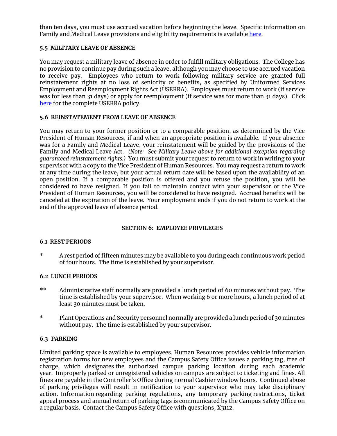than ten days, you must use accrued vacation before beginning the leave. Specific information on Family and Medical Leave provisions and eligibility requirements is available [here.](https://www.muhlenberg.edu/media/contentassets/pdf/about/hr/FMLA%20Policy.pdf)

## **5.5 MILITARY LEAVE OF ABSENCE**

You may request a military leave of absence in order to fulfill military obligations. The College has no provision to continue pay during such a leave, although you may choose to use accrued vacation to receive pay. Employees who return to work following military service are granted full reinstatement rights at no loss of seniority or benefits, as specified by Uniformed Services Employment and Reemployment Rights Act (USERRA). Employees must return to work (if service was for less than 31 days) or apply for reemployment (if service was for more than 31 days). Click [here](https://www.muhlenberg.edu/media/contentassets/pdf/about/hr/Muhlenberg%20College%20Military%20Leave%20Policy.pdf) for the complete USERRA policy.

#### **5.6 REINSTATEMENT FROM LEAVE OF ABSENCE**

You may return to your former position or to a comparable position, as determined by the Vice President of Human Resources, if and when an appropriate position is available. If your absence was for a Family and Medical Leave, your reinstatement will be guided by the provisions of the Family and Medical Leave Act. *(Note: See Military Leave above for additional exception regarding guaranteed reinstatement rights.)* You must submit your request to return to work in writing to your supervisor with a copy to the Vice President of Human Resources. You may request a return to work at any time during the leave, but your actual return date will be based upon the availability of an open position. If a comparable position is offered and you refuse the position, you will be considered to have resigned. If you fail to maintain contact with your supervisor or the Vice President of Human Resources, you will be considered to have resigned. Accrued benefits will be canceled at the expiration of the leave. Your employment ends if you do not return to work at the end of the approved leave of absence period.

#### **SECTION 6: EMPLOYEE PRIVILEGES**

#### **6.1 REST PERIODS**

\* A rest period of fifteen minutes may be available to you during each continuous work period of four hours. The time is established by your supervisor.

#### **6.2 LUNCH PERIODS**

- \*\* Administrative staff normally are provided a lunch period of 60 minutes without pay. The time is established by your supervisor. When working 6 or more hours, a lunch period of at least 30 minutes must be taken.
- \* Plant Operations and Security personnel normally are provided a lunch period of 30 minutes without pay. The time is established by your supervisor.

# **6.3 PARKING**

Limited parking space is available to employees. Human Resources provides vehicle information registration forms for new employees and the Campus Safety Office issues a parking tag, free of charge, which designates the authorized campus parking location during each academic year. Improperly parked or unregistered vehicles on campus are subject to ticketing and fines. All fines are payable in the Controller's Office during normal Cashier window hours. Continued abuse of parking privileges will result in notification to your supervisor who may take disciplinary action. Information regarding parking regulations, any temporary parking restrictions, ticket appeal process and annual return of parking tags is communicated by the Campus Safety Office on a regular basis. Contact the Campus Safety Office with questions, X3112.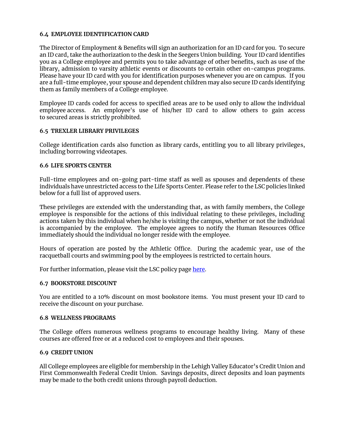## **6.4 EMPLOYEE IDENTIFICATION CARD**

The Director of Employment & Benefits will sign an authorization for an ID card for you. To secure an ID card, take the authorization to the desk in the Seegers Union building. Your ID card identifies you as a College employee and permits you to take advantage of other benefits, such as use of the library, admission to varsity athletic events or discounts to certain other on-campus programs. Please have your ID card with you for identification purposes whenever you are on campus. If you are a full-time employee, your spouse and dependent children may also secure ID cards identifying them as family members of a College employee.

Employee ID cards coded for access to specified areas are to be used only to allow the individual employee access. An employee's use of his/her ID card to allow others to gain access to secured areas is strictly prohibited.

## **6.5 TREXLER LIBRARY PRIVILEGES**

College identification cards also function as library cards, entitling you to all library privileges, including borrowing videotapes.

#### **6.6 LIFE SPORTS CENTER**

Full-time employees and on-going part-time staff as well as spouses and dependents of these individuals have unrestricted access to the Life Sports Center. Please refer to the LSC policies linked below for a full list of approved users.

These privileges are extended with the understanding that, as with family members, the College employee is responsible for the actions of this individual relating to these privileges, including actions taken by this individual when he/she is visiting the campus, whether or not the individual is accompanied by the employee. The employee agrees to notify the Human Resources Office immediately should the individual no longer reside with the employee.

Hours of operation are posted by the Athletic Office. During the academic year, use of the racquetball courts and swimming pool by the employees is restricted to certain hours.

For further information, please visit the LSC policy page [here.](http://www.muhlenberg.edu/main/aboutus/construction/facilities/lsc/policies.html)

#### **6.7 BOOKSTORE DISCOUNT**

You are entitled to a 10% discount on most bookstore items. You must present your ID card to receive the discount on your purchase.

#### **6.8 WELLNESS PROGRAMS**

The College offers numerous wellness programs to encourage healthy living. Many of these courses are offered free or at a reduced cost to employees and their spouses.

# **6.9 CREDIT UNION**

All College employees are eligible for membership in the Lehigh Valley Educator's Credit Union and First Commonwealth Federal Credit Union. Savings deposits, direct deposits and loan payments may be made to the both credit unions through payroll deduction.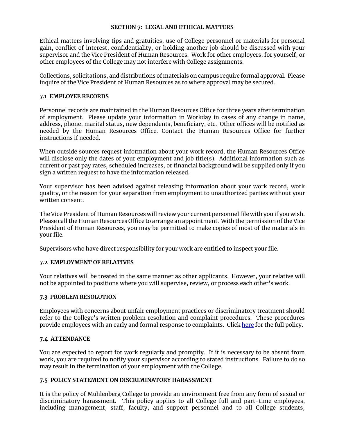## **SECTION 7: LEGAL AND ETHICAL MATTERS**

Ethical matters involving tips and gratuities, use of College personnel or materials for personal gain, conflict of interest, confidentiality, or holding another job should be discussed with your supervisor and the Vice President of Human Resources. Work for other employers, for yourself, or other employees of the College may not interfere with College assignments.

Collections, solicitations, and distributions of materials on campus require formal approval. Please inquire of the Vice President of Human Resources as to where approval may be secured.

## **7.1 EMPLOYEE RECORDS**

Personnel records are maintained in the Human Resources Office for three years after termination of employment. Please update your information in Workday in cases of any change in name, address, phone, marital status, new dependents, beneficiary, etc. Other offices will be notified as needed by the Human Resources Office. Contact the Human Resources Office for further instructions if needed.

When outside sources request information about your work record, the Human Resources Office will disclose only the dates of your employment and job title(s). Additional information such as current or past pay rates, scheduled increases, or financial background will be supplied only if you sign a written request to have the information released.

Your supervisor has been advised against releasing information about your work record, work quality, or the reason for your separation from employment to unauthorized parties without your written consent.

The Vice President of Human Resources will review your current personnel file with you if you wish. Please call the Human Resources Office to arrange an appointment. With the permission of the Vice President of Human Resources, you may be permitted to make copies of most of the materials in your file.

Supervisors who have direct responsibility for your work are entitled to inspect your file.

#### **7.2 EMPLOYMENT OF RELATIVES**

Your relatives will be treated in the same manner as other applicants. However, your relative will not be appointed to positions where you will supervise, review, or process each other's work.

# **7.3 PROBLEM RESOLUTION**

Employees with concerns about unfair employment practices or discriminatory treatment should refer to the College's written problem resolution and complaint procedures. These procedures provide employees with an early and formal response to complaints. Click [here](https://www.muhlenberg.edu/media/contentassets/pdf/about/hr/Problem%20Resolution%20NonFaculty.pdf) for the full policy.

#### **7.4 ATTENDANCE**

You are expected to report for work regularly and promptly. If it is necessary to be absent from work, you are required to notify your supervisor according to stated instructions. Failure to do so may result in the termination of your employment with the College.

#### **7.5 POLICY STATEMENT ON DISCRIMINATORY HARASSMENT**

It is the policy of Muhlenberg College to provide an environment free from any form of sexual or discriminatory harassment. This policy applies to all College full and part-time employees, including management, staff, faculty, and support personnel and to all College students,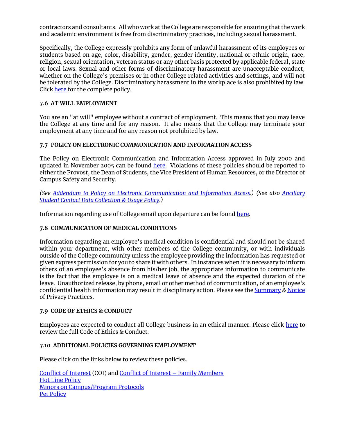contractors and consultants. All who work at the College are responsible for ensuring that the work and academic environment is free from discriminatory practices, including sexual harassment.

Specifically, the College expressly prohibits any form of unlawful harassment of its employees or students based on age, color, disability, gender, gender identity, national or ethnic origin, race, religion, sexual orientation, veteran status or any other basis protected by applicable federal, state or local laws. Sexual and other forms of discriminatory harassment are unacceptable conduct, whether on the College's premises or in other College related activities and settings, and will not be tolerated by the College. Discriminatory harassment in the workplace is also prohibited by law. Clic[k here](https://www.muhlenberg.edu/media/contentassets/pdf/about/hr/Discriminatory%20Harassment%20Policy%202019-09-27.pdf) for the complete policy.

## **7.6 AT WILL EMPLOYMENT**

You are an "at will" employee without a contract of employment. This means that you may leave the College at any time and for any reason. It also means that the College may terminate your employment at any time and for any reason not prohibited by law.

## **7.7 POLICY ON ELECTRONIC COMMUNICATION AND INFORMATION ACCESS**

The Policy on Electronic Communication and Information Access approved in July 2000 and updated in November 2005 can be found [here.](https://www.muhlenberg.edu/offices/oit/about/policies_procedures/electronic.html) Violations of these policies should be reported to either the Provost, the Dean of Students, the Vice President of Human Resources, or the Director of Campus Safety and Security.

*(See [Addendum to Policy on Electronic Communication and Information Access.](http://www.muhlenberg.edu/pdf/main/aboutus/oit/addendum_cipp.pdf)) (See also [Ancillary](http://www.muhlenberg.edu/pdf/main/aboutus/policies/AncillaryStudentContactDataPolicy.pdf)  [Student Contact Data Collection & Usage Policy.](http://www.muhlenberg.edu/pdf/main/aboutus/policies/AncillaryStudentContactDataPolicy.pdf))*

Information regarding use of College email upon departure can be found [here.](https://www.muhlenberg.edu/offices/oit/about/policies_procedures/account-policy.html)

#### **7.8 COMMUNICATION OF MEDICAL CONDITIONS**

Information regarding an employee's medical condition is confidential and should not be shared within your department, with other members of the College community, or with individuals outside of the College community unless the employee providing the information has requested or given express permission for you to share it with others. In instances when it is necessary to inform others of an employee's absence from his/her job, the appropriate information to communicate is the fact that the employee is on a medical leave of absence and the expected duration of the leave. Unauthorized release, by phone, email or other method of communication, of an employee's confidential health information may result in disciplinary action. Please see th[e Summary](https://www.muhlenberg.edu/media/contentassets/pdf/about/hr/Summary%20of%20Privacy%20Practices.pdf) [& Notice](https://www.muhlenberg.edu/media/contentassets/pdf/about/hr/NOTICE%20OF%20PRIVACY%20PRACTICES%20.pdf) of Privacy Practices.

#### **7.9 CODE OF ETHICS & CONDUCT**

Employees are expected to conduct all College business in an ethical manner. Please click [here](https://www.muhlenberg.edu/media/contentassets/pdf/about/hr/Code%20of%20Ethics%20and%20Conduct%20Final%202019-10-15.pdf) to review the full Code of Ethics & Conduct.

#### **7.10 ADDITIONAL POLICIES GOVERNING EMPLOYMENT**

Please click on the links below to review these policies.

[Conflict of Interest](https://www.muhlenberg.edu/media/contentassets/pdf/about/hr/ConflictofInterest%20Policy.pdf) (COI) and [Conflict of Interest](https://www.muhlenberg.edu/media/contentassets/pdf/about/hr/COI%20Family%20Members.pdf) – Family Members [Hot Line Policy](https://www.muhlenberg.edu/media/contentassets/pdf/about/treasurer/Hot%20Line%20Policy.pdf) [Minors on Campus/Program Protocols](https://www.muhlenberg.edu/media/contentassets/pdf/about/treasurer/Hot%20Line%20Policy.pdf) [Pet Policy](https://www.muhlenberg.edu/media/contentassets/pdf/about/hr/Petpolicyfinal101405.pdf)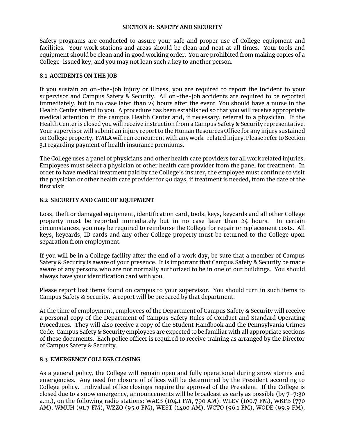## **SECTION 8: SAFETY AND SECURITY**

Safety programs are conducted to assure your safe and proper use of College equipment and facilities. Your work stations and areas should be clean and neat at all times. Your tools and equipment should be clean and in good working order. You are prohibited from making copies of a College-issued key, and you may not loan such a key to another person.

## **8.1 ACCIDENTS ON THE JOB**

If you sustain an on-the-job injury or illness, you are required to report the incident to your supervisor and Campus Safety & Security. All on-the-job accidents are required to be reported immediately, but in no case later than 24 hours after the event. You should have a nurse in the Health Center attend to you. A procedure has been established so that you will receive appropriate medical attention in the campus Health Center and, if necessary, referral to a physician. If the Health Center is closed you will receive instruction from a Campus Safety & Security representative. Your supervisor will submit an injury report to the Human Resources Office for any injury sustained on College property. FMLA will run concurrent with any work-related injury. Please refer to Section 3.1 regarding payment of health insurance premiums.

The College uses a panel of physicians and other health care providers for all work related injuries. Employees must select a physician or other health care provider from the panel for treatment. In order to have medical treatment paid by the College's insurer, the employee must continue to visit the physician or other health care provider for 90 days, if treatment is needed, from the date of the first visit.

# **8.2 SECURITY AND CARE OF EQUIPMENT**

Loss, theft or damaged equipment, identification card, tools, keys, keycards and all other College property must be reported immediately but in no case later than 24 hours. In certain circumstances, you may be required to reimburse the College for repair or replacement costs. All keys, keycards, ID cards and any other College property must be returned to the College upon separation from employment.

If you will be in a College facility after the end of a work day, be sure that a member of Campus Safety & Security is aware of your presence. It is important that Campus Safety & Security be made aware of any persons who are not normally authorized to be in one of our buildings. You should always have your identification card with you.

Please report lost items found on campus to your supervisor. You should turn in such items to Campus Safety & Security. A report will be prepared by that department.

At the time of employment, employees of the Department of Campus Safety & Security will receive a personal copy of the Department of Campus Safety Rules of Conduct and Standard Operating Procedures. They will also receive a copy of the Student Handbook and the Pennsylvania Crimes Code. Campus Safety & Security employees are expected to be familiar with all appropriate sections of these documents. Each police officer is required to receive training as arranged by the Director of Campus Safety & Security.

# **8.3 EMERGENCY COLLEGE CLOSING**

As a general policy, the College will remain open and fully operational during snow storms and emergencies. Any need for closure of offices will be determined by the President according to College policy. Individual office closings require the approval of the President. If the College is closed due to a snow emergency, announcements will be broadcast as early as possible (by 7-7:30 a.m.), on the following radio stations: WAEB (104.1 FM, 790 AM), WLEV (100.7 FM), WKFB (770 AM), WMUH (91.7 FM), WZZO (95.0 FM), WEST (1400 AM), WCTO (96.1 FM), WODE (99.9 FM),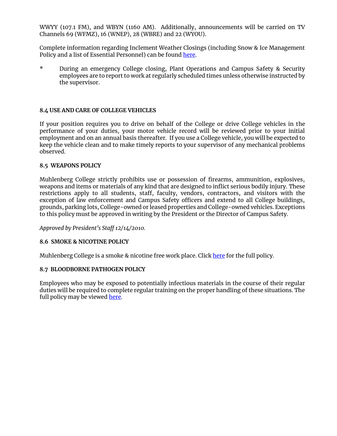WWYY (107.1 FM), and WBYN (1160 AM). Additionally, announcements will be carried on TV Channels 69 (WFMZ), 16 (WNEP), 28 (WBRE) and 22 (WYOU).

Complete information regarding Inclement Weather Closings (including Snow & Ice Management Policy and a list of Essential Personnel) can be found [here.](https://www.muhlenberg.edu/offices/hr/weather.html)

\* During an emergency College closing, Plant Operations and Campus Safety & Security employees are to report to work at regularly scheduled times unless otherwise instructed by the supervisor.

## **8.4 USE AND CARE OF COLLEGE VEHICLES**

If your position requires you to drive on behalf of the College or drive College vehicles in the performance of your duties, your motor vehicle record will be reviewed prior to your initial employment and on an annual basis thereafter. If you use a College vehicle, you will be expected to keep the vehicle clean and to make timely reports to your supervisor of any mechanical problems observed.

#### **8.5 WEAPONS POLICY**

Muhlenberg College strictly prohibits use or possession of firearms, ammunition, explosives, weapons and items or materials of any kind that are designed to inflict serious bodily injury. These restrictions apply to all students, staff, faculty, vendors, contractors, and visitors with the exception of law enforcement and Campus Safety officers and extend to all College buildings, grounds, parking lots, College-owned or leased properties and College-owned vehicles. Exceptions to this policy must be approved in writing by the President or the Director of Campus Safety.

*Approved by President's Staff 12/14/2010.*

#### **8.6 SMOKE & NICOTINE POLICY**

Muhlenberg College is a smoke & nicotine free work place. Clic[k here](https://www.muhlenberg.edu/media/contentassets/pdf/about/hr/MuhlenbergCollegeSmokeNicotineFreeCampusPolicy.pdf) for the full policy.

#### **8.7 BLOODBORNE PATHOGEN POLICY**

Employees who may be exposed to potentially infectious materials in the course of their regular duties will be required to complete regular training on the proper handling of these situations. The full policy may be viewed [here.](https://www.muhlenberg.edu/media/contentassets/pdf/about/hr/Occupational%20Exposure%20to%20Bloodborne%20Pathogens.pdf)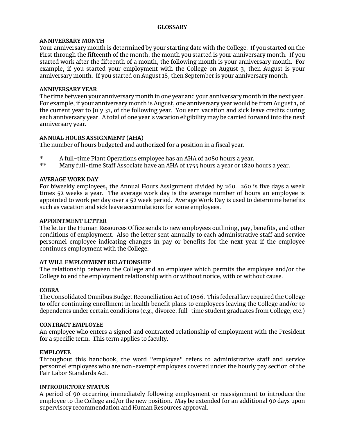#### **GLOSSARY**

## **ANNIVERSARY MONTH**

Your anniversary month is determined by your starting date with the College. If you started on the First through the fifteenth of the month, the month you started is your anniversary month. If you started work after the fifteenth of a month, the following month is your anniversary month. For example, if you started your employment with the College on August 3, then August is your anniversary month. If you started on August 18, then September is your anniversary month.

## **ANNIVERSARY YEAR**

The time between your anniversary month in one year and your anniversary month in the next year. For example, if your anniversary month is August, one anniversary year would be from August 1, of the current year to July 31, of the following year. You earn vacation and sick leave credits during each anniversary year. A total of one year's vacation eligibility may be carried forward into the next anniversary year.

## **ANNUAL HOURS ASSIGNMENT (AHA)**

The number of hours budgeted and authorized for a position in a fiscal year.

- \* A full-time Plant Operations employee has an AHA of 2080 hours a year.
- Many full-time Staff Associate have an AHA of 1755 hours a year or 1820 hours a year.

## **AVERAGE WORK DAY**

For biweekly employees, the Annual Hours Assignment divided by 260. 260 is five days a week times 52 weeks a year. The average work day is the average number of hours an employee is appointed to work per day over a 52 week period. Average Work Day is used to determine benefits such as vacation and sick leave accumulations for some employees.

## **APPOINTMENT LETTER**

The letter the Human Resources Office sends to new employees outlining, pay, benefits, and other conditions of employment. Also the letter sent annually to each administrative staff and service personnel employee indicating changes in pay or benefits for the next year if the employee continues employment with the College.

# **AT WILL EMPLOYMENT RELATIONSHIP**

The relationship between the College and an employee which permits the employee and/or the College to end the employment relationship with or without notice, with or without cause.

# **COBRA**

The Consolidated Omnibus Budget Reconciliation Act of 1986. This federal law required the College to offer continuing enrollment in health benefit plans to employees leaving the College and/or to dependents under certain conditions (e.g., divorce, full-time student graduates from College, etc.)

#### **CONTRACT EMPLOYEE**

An employee who enters a signed and contracted relationship of employment with the President for a specific term. This term applies to faculty.

# **EMPLOYEE**

Throughout this handbook, the word "employee" refers to administrative staff and service personnel employees who are non-exempt employees covered under the hourly pay section of the Fair Labor Standards Act.

# **INTRODUCTORY STATUS**

A period of 90 occurring immediately following employment or reassignment to introduce the employee to the College and/or the new position. May be extended for an additional 90 days upon supervisory recommendation and Human Resources approval.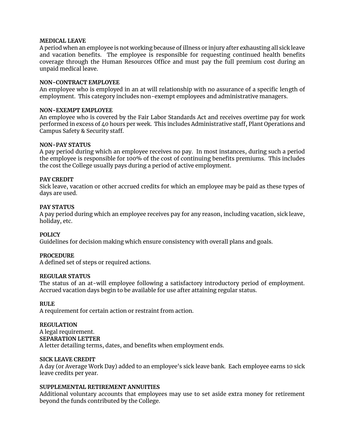#### **MEDICAL LEAVE**

A period when an employee is not working because of illness or injury after exhausting all sick leave and vacation benefits. The employee is responsible for requesting continued health benefits coverage through the Human Resources Office and must pay the full premium cost during an unpaid medical leave.

#### **NON-CONTRACT EMPLOYEE**

An employee who is employed in an at will relationship with no assurance of a specific length of employment. This category includes non-exempt employees and administrative managers.

#### **NON-EXEMPT EMPLOYEE**

An employee who is covered by the Fair Labor Standards Act and receives overtime pay for work performed in excess of 40 hours per week. This includes Administrative staff, Plant Operations and Campus Safety & Security staff.

#### **NON-PAY STATUS**

A pay period during which an employee receives no pay. In most instances, during such a period the employee is responsible for 100% of the cost of continuing benefits premiums. This includes the cost the College usually pays during a period of active employment.

#### **PAY CREDIT**

Sick leave, vacation or other accrued credits for which an employee may be paid as these types of days are used.

#### **PAY STATUS**

A pay period during which an employee receives pay for any reason, including vacation, sick leave, holiday, etc.

#### **POLICY**

Guidelines for decision making which ensure consistency with overall plans and goals.

#### **PROCEDURE**

A defined set of steps or required actions.

#### **REGULAR STATUS**

The status of an at-will employee following a satisfactory introductory period of employment. Accrued vacation days begin to be available for use after attaining regular status.

#### **RULE**

A requirement for certain action or restraint from action.

#### **REGULATION**

A legal requirement. **SEPARATION LETTER** A letter detailing terms, dates, and benefits when employment ends.

#### **SICK LEAVE CREDIT**

A day (or Average Work Day) added to an employee's sick leave bank. Each employee earns 10 sick leave credits per year.

#### **SUPPLEMENTAL RETIREMENT ANNUITIES**

Additional voluntary accounts that employees may use to set aside extra money for retirement beyond the funds contributed by the College.